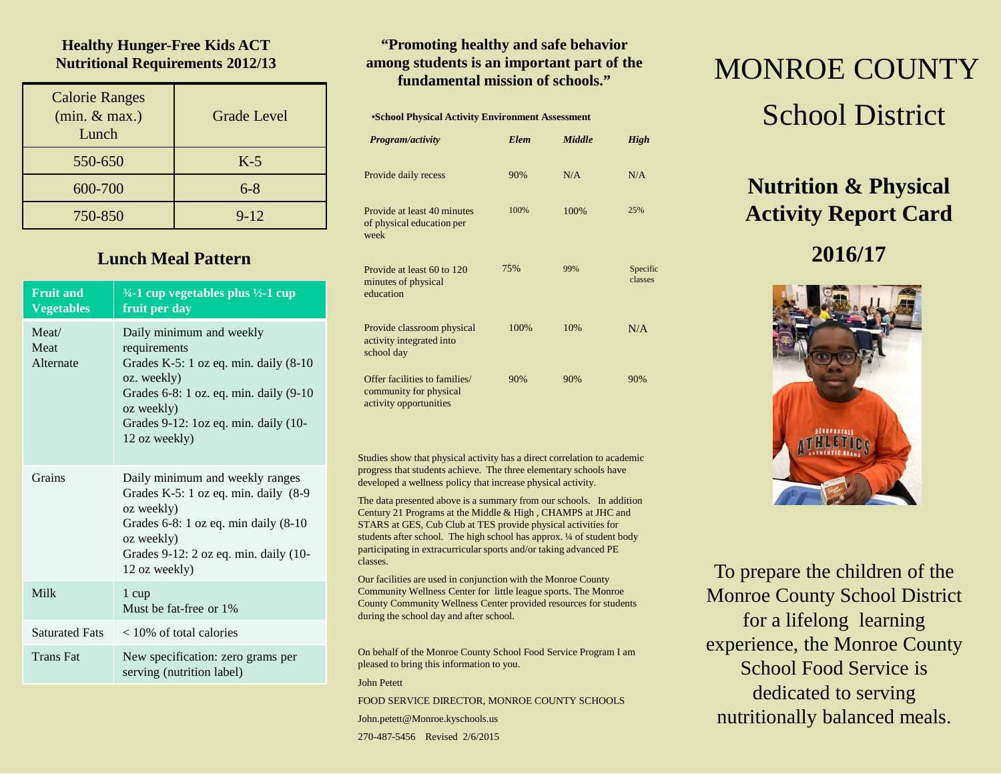### **Healthy Hunger-Free Kids ACT Nutritional Requirements 2012/13**

| <b>Calorie Ranges</b><br>(min. & max.)<br>Lunch | <b>Grade Level</b> |
|-------------------------------------------------|--------------------|
| 550-650                                         | $K-5$              |
| 600-700                                         | $6 - 8$            |
| 750-850                                         | $9 - 12$           |

## **Lunch Meal Pattern**

| <b>Fruit and</b><br><b>Vegetables</b> | $\frac{3}{4}$ -1 cup vegetables plus $\frac{1}{2}$ -1 cup<br>fruit per day                                                                                                                                              |
|---------------------------------------|-------------------------------------------------------------------------------------------------------------------------------------------------------------------------------------------------------------------------|
| Meat/<br>Meat<br>Alternate            | Daily minimum and weekly<br>requirements<br>Grades K-5: $1$ oz eq. min. daily $(8-10)$<br>oz. weekly)<br>Grades 6-8: 1 oz. eq. min. daily (9-10)<br>oz weekly)<br>Grades 9-12: loz eq. min. daily (10-<br>12 oz weekly) |
| Grains                                | Daily minimum and weekly ranges<br>Grades K-5: 1 oz eq. min. daily (8-9)<br>oz weekly)<br>Grades $6-8$ : 1 oz eq. min daily $(8-10)$<br>oz weekly)<br>Grades 9-12: 2 oz eq. min. daily (10-<br>12 oz weekly)            |
| Milk                                  | 1 cup<br>Must be fat-free or 1%                                                                                                                                                                                         |
| <b>Saturated Fats</b>                 | $<$ 10% of total calories                                                                                                                                                                                               |
| <b>Trans Fat</b>                      | New specification: zero grams per<br>serving (nutrition label)                                                                                                                                                          |

### **"Promoting healthy and safe behavior among students is an important part of the fundamental mission of schools."**

# •**School Physical Activity Environment Assessment**

| Program/activity                                                                  | <b>Elem</b> | <b>Middle</b> | <b>High</b>         |
|-----------------------------------------------------------------------------------|-------------|---------------|---------------------|
| Provide daily recess                                                              | 90%         | N/A           | N/A                 |
| Provide at least 40 minutes<br>of physical education per<br>week                  | 100%        | 100%          | 25%                 |
| Provide at least 60 to 120<br>minutes of physical<br>education                    | 75%         | 99%           | Specific<br>classes |
| Provide classroom physical<br>activity integrated into<br>school day              | 100%        | 10%           | N/A                 |
| Offer facilities to families/<br>community for physical<br>activity opportunities | 90%         | 90%           | 90%                 |

Studies show that physical activity has a direct correlation to academic progress that students achieve. The three elementary schools have developed a wellness policy that increase physical activity.

The data presented above is a summary from our schools. In addition Century 21 Programs at the Middle & High , CHAMPS at JHC and STARS at GES, Cub Club at TES provide physical activities for students after school. The high school has approx. ¼ of student body participating in extracurricular sports and/or taking advanced PE classes.

Our facilities are used in conjunction with the Monroe County Community Wellness Center for little league sports. The Monroe County Community Wellness Center provided resources for students during the school day and after school.

On behalf of the Monroe County School Food Service Program I am pleased to bring this information to you.

#### John Petett

FOOD SERVICE DIRECTOR, MONROE COUNTY SCHOOLS John.petett@Monroe.kyschools.us

270-487-5456 Revised 2/6/2015

# MONROE COUNTY School District

# **Nutrition & Physical Activity Report Card**

# **2016/17**



To prepare the children of the Monroe County School District for a lifelong learning experience, the Monroe County School Food Service is dedicated to serving nutritionally balanced meals.